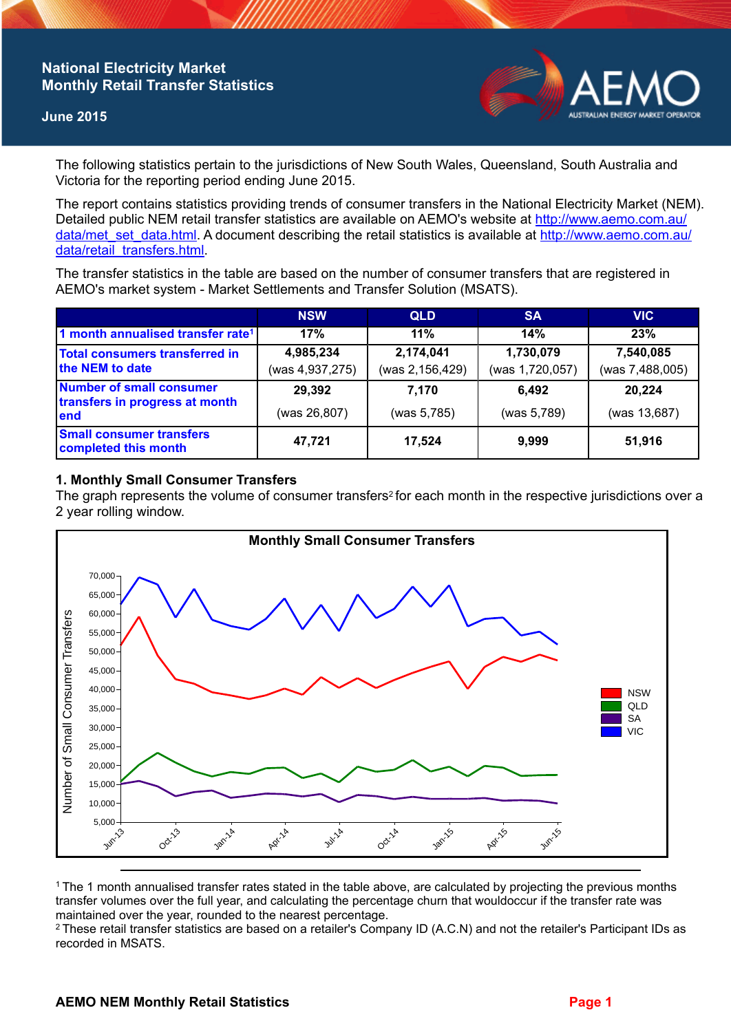## **National Electricity Market Monthly Retail Transfer Statistics**

### **June 2015**



The following statistics pertain to the jurisdictions of New South Wales, Queensland, South Australia and Victoria for the reporting period ending June 2015.

The report contains statistics providing trends of consumer transfers in the National Electricity Market (NEM). Detailed public NEM retail transfer statistics are available on AEMO's website at [http://www.aemo.com.au/](http://www.aemo.com.au/data/met_set_data.html) [data/met\\_set\\_data.html](http://www.aemo.com.au/data/met_set_data.html). A document describing the retail statistics is available at [http://www.aemo.com.au/](http://www.aemo.com.au/data/retail_transfers.html) [data/retail\\_transfers.html](http://www.aemo.com.au/data/retail_transfers.html).

The transfer statistics in the table are based on the number of consumer transfers that are registered in AEMO's market system - Market Settlements and Transfer Solution (MSATS).

|                                                                    | <b>NSW</b>                   | <b>QLD</b>                   | <b>SA</b>                    | <b>VIC</b>                   |
|--------------------------------------------------------------------|------------------------------|------------------------------|------------------------------|------------------------------|
| 1 month annualised transfer rate <sup>1</sup>                      | 17%                          | 11%                          | 14%                          | 23%                          |
| <b>Total consumers transferred in</b><br>the NEM to date           | 4,985,234<br>(was 4,937,275) | 2,174,041<br>(was 2,156,429) | 1,730,079<br>(was 1,720,057) | 7,540,085<br>(was 7,488,005) |
| Number of small consumer<br>transfers in progress at month<br>lend | 29,392                       | 7.170                        | 6.492                        | 20,224                       |
|                                                                    | (was 26,807)                 | (was 5,785)                  | (was 5,789)                  | (was 13,687)                 |
| <b>Small consumer transfers</b><br>completed this month            | 47,721                       | 17,524                       | 9,999                        | 51,916                       |

## **1. Monthly Small Consumer Transfers**

The graph represents the volume of consumer transfers<sup>2</sup> for each month in the respective jurisdictions over a 2 year rolling window.



<sup>1</sup>The 1 month annualised transfer rates stated in the table above, are calculated by projecting the previous months transfer volumes over the full year, and calculating the percentage churn that wouldoccur if the transfer rate was maintained over the year, rounded to the nearest percentage.

<sup>2</sup> These retail transfer statistics are based on a retailer's Company ID (A.C.N) and not the retailer's Participant IDs as recorded in MSATS.